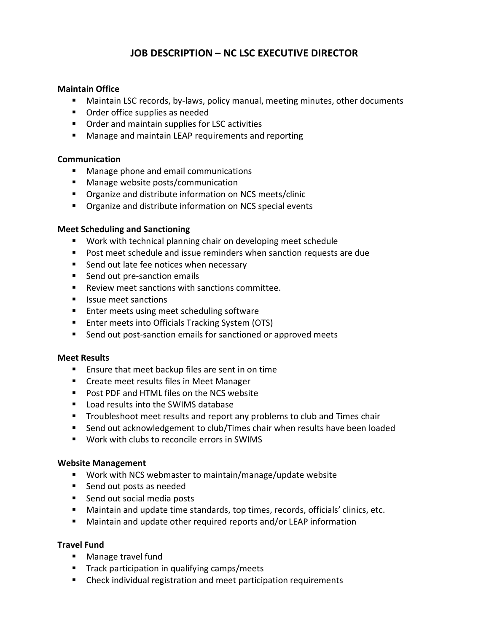# **JOB DESCRIPTION – NC LSC EXECUTIVE DIRECTOR**

### **Maintain Office**

- **E** Maintain LSC records, by-laws, policy manual, meeting minutes, other documents
- Order office supplies as needed
- **•** Order and maintain supplies for LSC activities
- **B** Manage and maintain LEAP requirements and reporting

#### **Communication**

- **KET** Manage phone and email communications
- Manage website posts/communication
- **Organize and distribute information on NCS meets/clinic**
- **Organize and distribute information on NCS special events**

#### **Meet Scheduling and Sanctioning**

- **Work with technical planning chair on developing meet schedule**
- **Post meet schedule and issue reminders when sanction requests are due**
- **Send out late fee notices when necessary**
- **Send out pre-sanction emails**
- Review meet sanctions with sanctions committee.
- **If** Issue meet sanctions
- **Enter meets using meet scheduling software**
- Enter meets into Officials Tracking System (OTS)
- Send out post-sanction emails for sanctioned or approved meets

#### **Meet Results**

- **E** Ensure that meet backup files are sent in on time
- **EXECTE Create meet results files in Meet Manager**
- Post PDF and HTML files on the NCS website
- **E** Load results into the SWIMS database
- **Troubleshoot meet results and report any problems to club and Times chair**
- **EXECT** Send out acknowledgement to club/Times chair when results have been loaded
- Work with clubs to reconcile errors in SWIMS

#### **Website Management**

- Work with NCS webmaster to maintain/manage/update website
- Send out posts as needed
- Send out social media posts
- **Hetaoh Maintain and update time standards, top times, records, officials' clinics, etc.**
- **E** Maintain and update other required reports and/or LEAP information

#### **Travel Fund**

- Manage travel fund
- $\blacksquare$  Track participation in qualifying camps/meets
- **EXP** Check individual registration and meet participation requirements